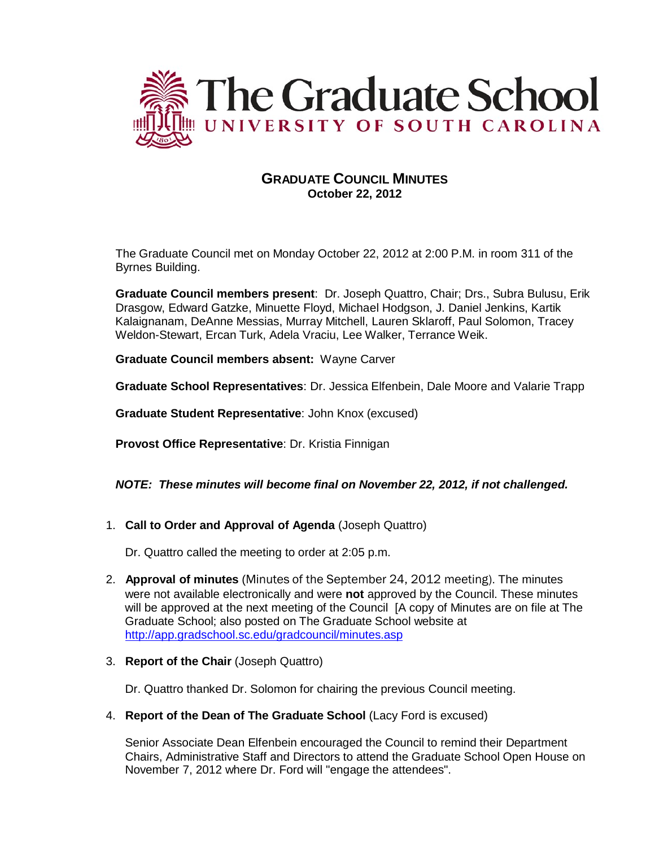

# **GRADUATE COUNCIL MINUTES October 22, 2012**

The Graduate Council met on Monday October 22, 2012 at 2:00 P.M. in room 311 of the Byrnes Building.

**Graduate Council members present**: Dr. Joseph Quattro, Chair; Drs., Subra Bulusu, Erik Drasgow, Edward Gatzke, Minuette Floyd, Michael Hodgson, J. Daniel Jenkins, Kartik Kalaignanam, DeAnne Messias, Murray Mitchell, Lauren Sklaroff, Paul Solomon, Tracey Weldon-Stewart, Ercan Turk, Adela Vraciu, Lee Walker, Terrance Weik.

**Graduate Council members absent:** Wayne Carver

**Graduate School Representatives**: Dr. Jessica Elfenbein, Dale Moore and Valarie Trapp

**Graduate Student Representative**: John Knox (excused)

**Provost Office Representative**: Dr. Kristia Finnigan

## *NOTE: These minutes will become final on November 22, 2012, if not challenged.*

1. **Call to Order and Approval of Agenda** (Joseph Quattro)

Dr. Quattro called the meeting to order at 2:05 p.m.

- 2. **Approval of minutes** (Minutes of the September 24, 2012 meeting). The minutes were not available electronically and were **not** approved by the Council. These minutes will be approved at the next meeting of the Council [A copy of Minutes are on file at The Graduate School; also posted on The Graduate School website at <http://app.gradschool.sc.edu/gradcouncil/minutes.asp>
- 3. **Report of the Chair** (Joseph Quattro)

Dr. Quattro thanked Dr. Solomon for chairing the previous Council meeting.

4. **Report of the Dean of The Graduate School** (Lacy Ford is excused)

Senior Associate Dean Elfenbein encouraged the Council to remind their Department Chairs, Administrative Staff and Directors to attend the Graduate School Open House on November 7, 2012 where Dr. Ford will "engage the attendees".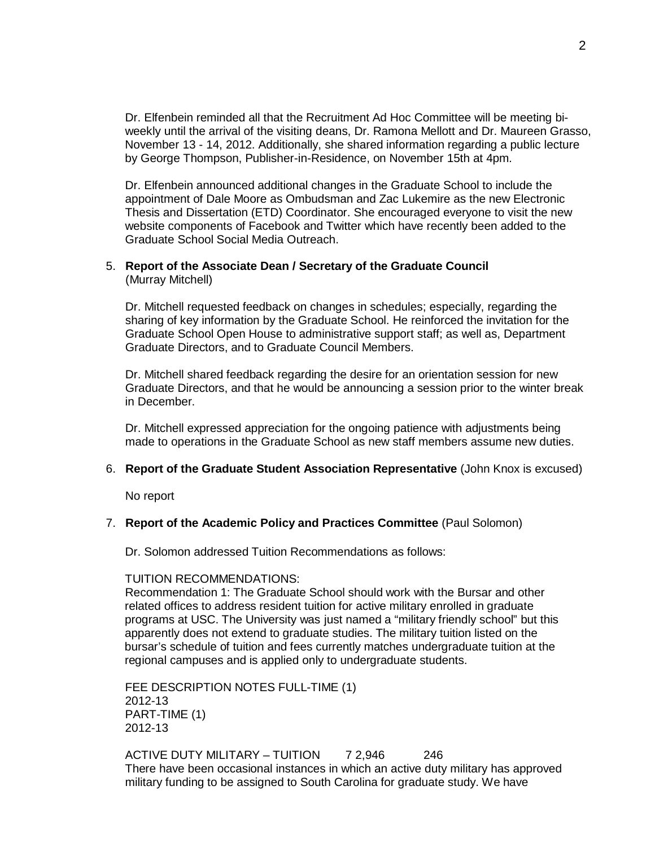Dr. Elfenbein reminded all that the Recruitment Ad Hoc Committee will be meeting biweekly until the arrival of the visiting deans, Dr. Ramona Mellott and Dr. Maureen Grasso, November 13 - 14, 2012. Additionally, she shared information regarding a public lecture by George Thompson, Publisher-in-Residence, on November 15th at 4pm.

Dr. Elfenbein announced additional changes in the Graduate School to include the appointment of Dale Moore as Ombudsman and Zac Lukemire as the new Electronic Thesis and Dissertation (ETD) Coordinator. She encouraged everyone to visit the new website components of Facebook and Twitter which have recently been added to the Graduate School Social Media Outreach.

#### 5. **Report of the Associate Dean / Secretary of the Graduate Council** (Murray Mitchell)

Dr. Mitchell requested feedback on changes in schedules; especially, regarding the sharing of key information by the Graduate School. He reinforced the invitation for the Graduate School Open House to administrative support staff; as well as, Department Graduate Directors, and to Graduate Council Members.

Dr. Mitchell shared feedback regarding the desire for an orientation session for new Graduate Directors, and that he would be announcing a session prior to the winter break in December.

Dr. Mitchell expressed appreciation for the ongoing patience with adjustments being made to operations in the Graduate School as new staff members assume new duties.

### 6. **Report of the Graduate Student Association Representative** (John Knox is excused)

No report

### 7. **Report of the Academic Policy and Practices Committee** (Paul Solomon)

Dr. Solomon addressed Tuition Recommendations as follows:

### TUITION RECOMMENDATIONS:

Recommendation 1: The Graduate School should work with the Bursar and other related offices to address resident tuition for active military enrolled in graduate programs at USC. The University was just named a "military friendly school" but this apparently does not extend to graduate studies. The military tuition listed on the bursar's schedule of tuition and fees currently matches undergraduate tuition at the regional campuses and is applied only to undergraduate students.

FEE DESCRIPTION NOTES FULL-TIME (1) 2012-13 PART-TIME (1) 2012-13

ACTIVE DUTY MILITARY – TUITION 7 2,946 246 There have been occasional instances in which an active duty military has approved military funding to be assigned to South Carolina for graduate study. We have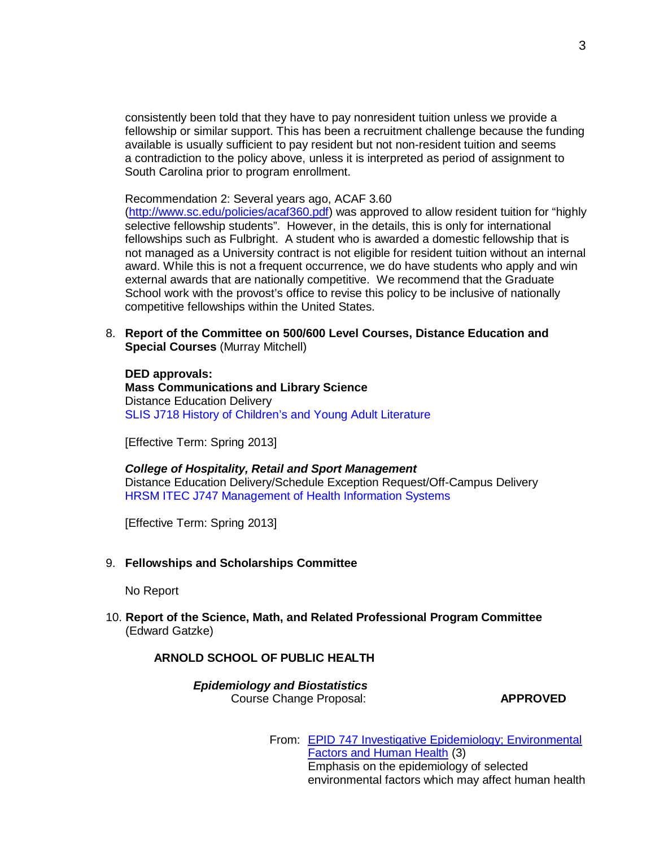consistently been told that they have to pay nonresident tuition unless we provide a fellowship or similar support. This has been a recruitment challenge because the funding available is usually sufficient to pay resident but not non-resident tuition and seems a contradiction to the policy above, unless it is interpreted as period of assignment to South Carolina prior to program enrollment.

Recommendation 2: Several years ago, ACAF 3.60

[\(http://www.sc.edu/policies/acaf360.pdf\)](http://www.sc.edu/policies/acaf360.pdf) was approved to allow resident tuition for "highly selective fellowship students". However, in the details, this is only for international fellowships such as Fulbright. A student who is awarded a domestic fellowship that is not managed as a University contract is not eligible for resident tuition without an internal award. While this is not a frequent occurrence, we do have students who apply and win external awards that are nationally competitive. We recommend that the Graduate School work with the provost's office to revise this policy to be inclusive of nationally competitive fellowships within the United States.

8. **Report of the Committee on 500/600 Level Courses, Distance Education and Special Courses** (Murray Mitchell)

**DED approvals: Mass Communications and Library Science** Distance Education Delivery SLIS J718 History of Children's and Young Adult Literature

[Effective Term: Spring 2013]

#### *College of Hospitality, Retail and Sport Management* Distance Education Delivery/Schedule Exception Request/Off-Campus Delivery HRSM ITEC J747 Management of Health Information Systems

[Effective Term: Spring 2013]

9. **Fellowships and Scholarships Committee**

No Report

10. **Report of the Science, Math, and Related Professional Program Committee** (Edward Gatzke)

**ARNOLD SCHOOL OF PUBLIC HEALTH**

*Epidemiology and Biostatistics* Course Change Proposal: **APPROVED**

From: EPID 747 [Investigative Epidemiology;](http://app.gradschool.sc.edu/includes/filedownload-public.asp?location=E%3A\GMS\GRADCOUNCIL\2012\EPID%20747%20CCP%20(Public%20Health%2010-1-2012).pdf&amp%3Bamp%3Bamp%3Bamp%3Bfile_name=EPID%20747%20CCP%20(Public%20Health%2010-1-2012).pdf) Environmental [Factors](http://app.gradschool.sc.edu/includes/filedownload-public.asp?location=E%3A\GMS\GRADCOUNCIL\2012\EPID%20747%20CCP%20(Public%20Health%2010-1-2012).pdf&amp%3Bamp%3Bamp%3Bamp%3Bfile_name=EPID%20747%20CCP%20(Public%20Health%2010-1-2012).pdf) and Human Health (3) Emphasis on the epidemiology of selected environmental factors which may affect human health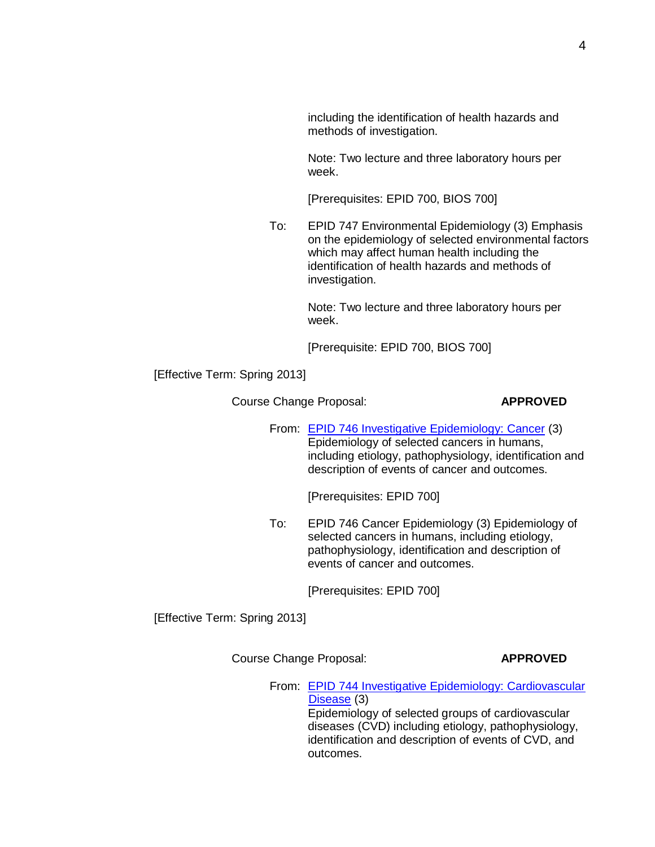including the identification of health hazards and methods of investigation.

Note: Two lecture and three laboratory hours per week.

[Prerequisites: EPID 700, BIOS 700]

To: EPID 747 Environmental Epidemiology (3) Emphasis on the epidemiology of selected environmental factors which may affect human health including the identification of health hazards and methods of investigation.

> Note: Two lecture and three laboratory hours per week.

[Prerequisite: EPID 700, BIOS 700]

[Effective Term: Spring 2013]

Course Change Proposal: **APPROVED**

From: **EPID 746 Investigative [Epidemiology:](http://gradschool.sc.edu/facstaff/gradcouncil/2012/EPID%20746%20CCP%20(Public%20Health%2010-1-2012).pdf) Cancer (3)** Epidemiology of selected cancers in humans, including etiology, pathophysiology, identification and description of events of cancer and outcomes.

[Prerequisites: EPID 700]

To: EPID 746 Cancer Epidemiology (3) Epidemiology of selected cancers in humans, including etiology, pathophysiology, identification and description of events of cancer and outcomes.

[Prerequisites: EPID 700]

[Effective Term: Spring 2013]

Course Change Proposal: **APPROVED**

outcomes.

From: EPID 744 Investigative Epidemiology: [Cardiovascular](http://gradschool.sc.edu/facstaff/gradcouncil/2012/EPID%20744%20CCP%20(Public%20Health%2010-1-2012).pdf) [Disease](http://gradschool.sc.edu/facstaff/gradcouncil/2012/EPID%20744%20CCP%20(Public%20Health%2010-1-2012).pdf) (3) Epidemiology of selected groups of cardiovascular diseases (CVD) including etiology, pathophysiology, identification and description of events of CVD, and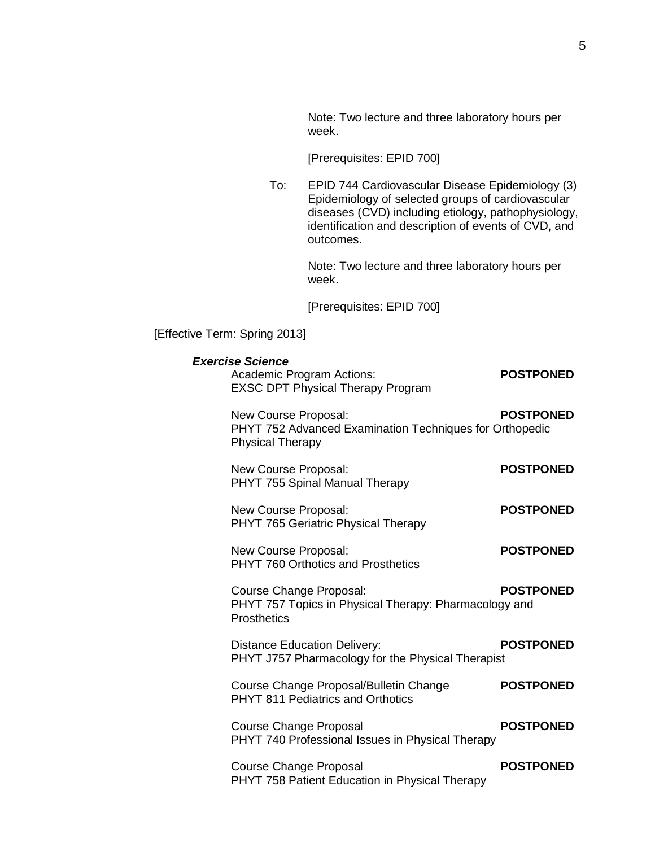Note: Two lecture and three laboratory hours per week.

[Prerequisites: EPID 700]

To: EPID 744 Cardiovascular Disease Epidemiology (3) Epidemiology of selected groups of cardiovascular diseases (CVD) including etiology, pathophysiology, identification and description of events of CVD, and outcomes.

> Note: Two lecture and three laboratory hours per week.

[Prerequisites: EPID 700]

[Effective Term: Spring 2013]

| <b>Exercise Science</b><br><b>Academic Program Actions:</b><br><b>EXSC DPT Physical Therapy Program</b>    | <b>POSTPONED</b> |
|------------------------------------------------------------------------------------------------------------|------------------|
| New Course Proposal:<br>PHYT 752 Advanced Examination Techniques for Orthopedic<br><b>Physical Therapy</b> | <b>POSTPONED</b> |
| New Course Proposal:<br>PHYT 755 Spinal Manual Therapy                                                     | <b>POSTPONED</b> |
| New Course Proposal:<br>PHYT 765 Geriatric Physical Therapy                                                | <b>POSTPONED</b> |
| New Course Proposal:<br>PHYT 760 Orthotics and Prosthetics                                                 | <b>POSTPONED</b> |
| Course Change Proposal:<br>PHYT 757 Topics in Physical Therapy: Pharmacology and<br><b>Prosthetics</b>     | <b>POSTPONED</b> |
| <b>Distance Education Delivery:</b><br>PHYT J757 Pharmacology for the Physical Therapist                   | <b>POSTPONED</b> |
| Course Change Proposal/Bulletin Change<br><b>PHYT 811 Pediatrics and Orthotics</b>                         | <b>POSTPONED</b> |
| <b>Course Change Proposal</b><br>PHYT 740 Professional Issues in Physical Therapy                          | <b>POSTPONED</b> |
| <b>Course Change Proposal</b><br>PHYT 758 Patient Education in Physical Therapy                            | <b>POSTPONED</b> |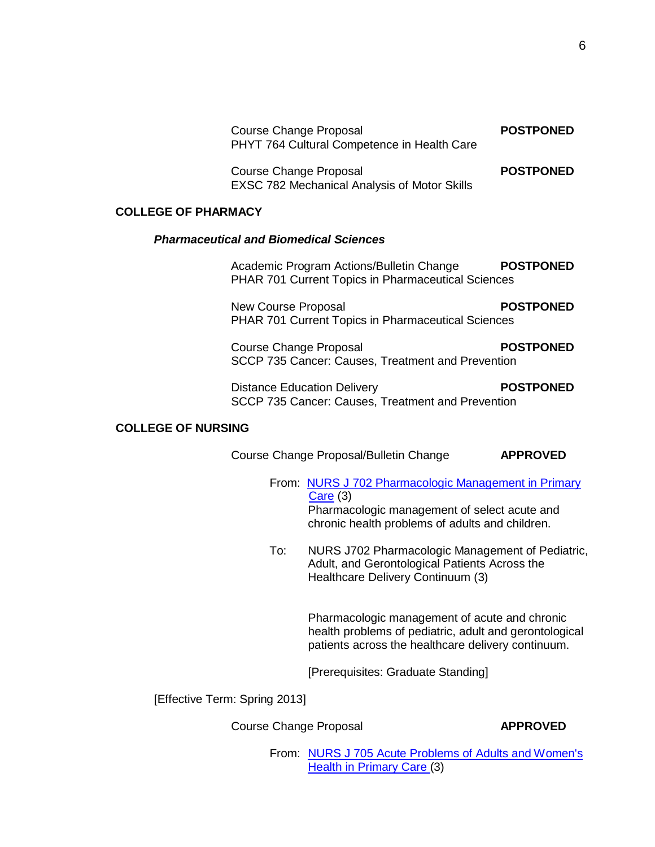| Course Change Proposal<br>PHYT 764 Cultural Competence in Health Care  | <b>POSTPONED</b> |
|------------------------------------------------------------------------|------------------|
| Course Change Proposal<br>EXSC 782 Mechanical Analysis of Motor Skills | <b>POSTPONED</b> |

## **COLLEGE OF PHARMACY**

### *Pharmaceutical and Biomedical Sciences*

| Academic Program Actions/Bulletin Change                  | <b>POSTPONED</b> |
|-----------------------------------------------------------|------------------|
| <b>PHAR 701 Current Topics in Pharmaceutical Sciences</b> |                  |

New Course Proposal **POSTPONED** PHAR 701 Current Topics in Pharmaceutical Sciences

**Course Change Proposal <b>POSTPONED** SCCP 735 Cancer: Causes, Treatment and Prevention

Distance Education Delivery **POSTPONED** SCCP 735 Cancer: Causes, Treatment and Prevention

### **COLLEGE OF NURSING**

Course Change Proposal/Bulletin Change **APPROVED**

From: NURS J 702 [Pharmacologic](http://gradschool.sc.edu/facstaff/gradcouncil/2012/CCPNURSJ702_201241_Redacted.pdf) Management in Primary [Care](http://gradschool.sc.edu/facstaff/gradcouncil/2012/CCPNURSJ702_201241_Redacted.pdf) (3) Pharmacologic management of select acute and chronic health problems of adults and children.

To: NURS J702 Pharmacologic Management of Pediatric, Adult, and Gerontological Patients Across the Healthcare Delivery Continuum (3)

> Pharmacologic management of acute and chronic health problems of pediatric, adult and gerontological patients across the healthcare delivery continuum.

[Prerequisites: Graduate Standing]

[Effective Term: Spring 2013]

**Course Change Proposal <b>APPROVED** 

From: NURS J 705 Acute [Problems](http://gradschool.sc.edu/facstaff/gradcouncil/2012/CCPNURSJ705_201241_Redacted.pdf) of Adults and Women's Health in [Primary](http://gradschool.sc.edu/facstaff/gradcouncil/2012/CCPNURSJ705_201241_Redacted.pdf) Care (3)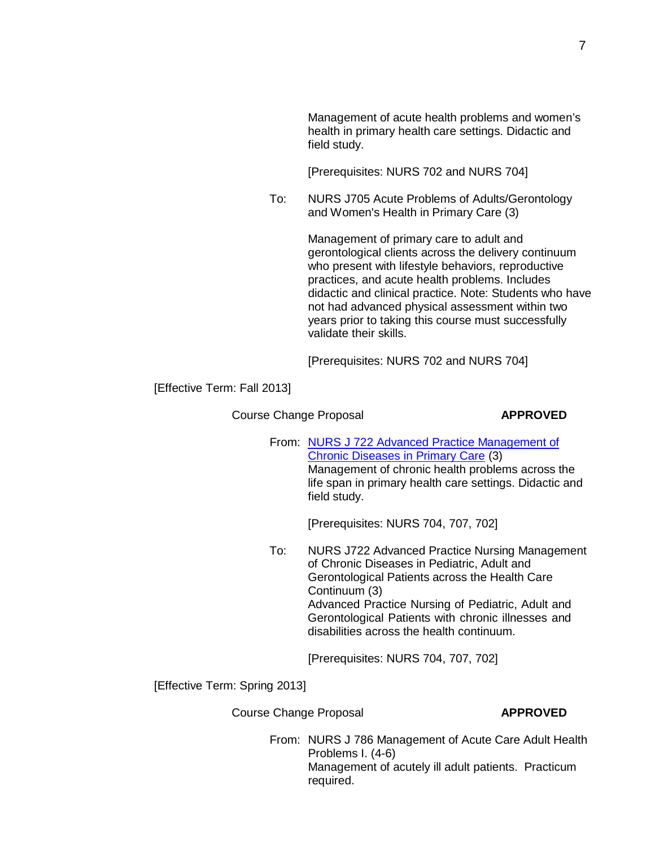[Prerequisites: NURS 702 and NURS 704]

To: NURS J705 Acute Problems of Adults/Gerontology and Women's Health in Primary Care (3)

> Management of primary care to adult and gerontological clients across the delivery continuum who present with lifestyle behaviors, reproductive practices, and acute health problems. Includes didactic and clinical practice. Note: Students who have not had advanced physical assessment within two years prior to taking this course must successfully validate their skills.

[Prerequisites: NURS 702 and NURS 704]

[Effective Term: Fall 2013]

**Course Change Proposal <b>APPROVED** 

From: NURS J 722 Advanced Practice [Management of](http://gradschool.sc.edu/facstaff/gradcouncil/2012/CCPNURSJ722_201241_Redacted.pdf) Chronic [Diseases](http://gradschool.sc.edu/facstaff/gradcouncil/2012/CCPNURSJ722_201241_Redacted.pdf) in Primary Care (3) Management of chronic health problems across the life span in primary health care settings. Didactic and field study.

[Prerequisites: NURS 704, 707, 702]

To: NURS J722 Advanced Practice Nursing Management of Chronic Diseases in Pediatric, Adult and Gerontological Patients across the Health Care Continuum (3) Advanced Practice Nursing of Pediatric, Adult and Gerontological Patients with chronic illnesses and disabilities across the health continuum.

[Prerequisites: NURS 704, 707, 702]

[Effective Term: Spring 2013]

**Course Change Proposal <b>APPROVED** 

From: NURS J 786 Management of Acute Care Adult Health Problems I. (4-6) Management of acutely ill adult patients. Practicum required.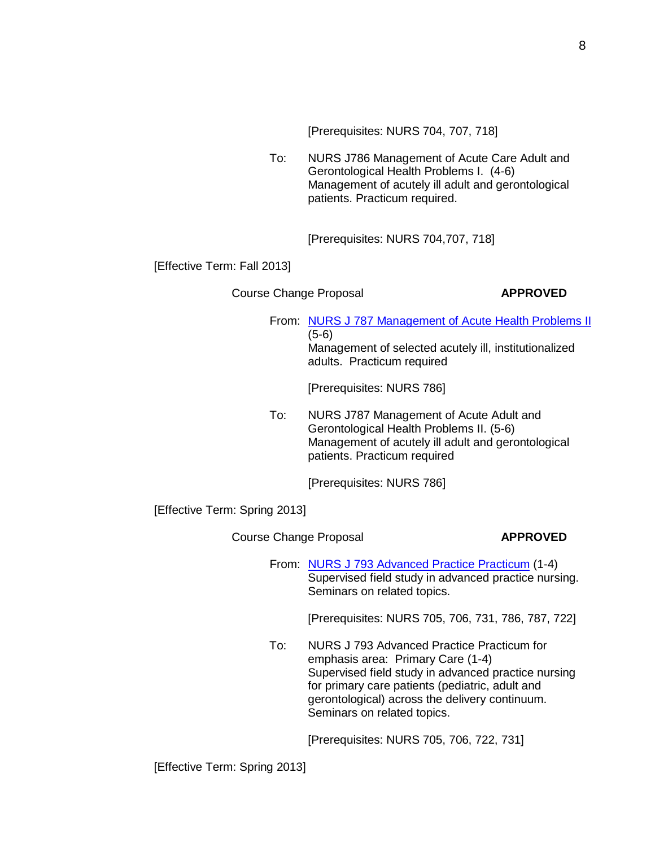[Prerequisites: NURS 704, 707, 718]

To: NURS J786 Management of Acute Care Adult and Gerontological Health Problems I. (4-6) Management of acutely ill adult and gerontological patients. Practicum required.

[Prerequisites: NURS 704,707, 718]

[Effective Term: Fall 2013]

Course Change Proposal **APPROVED** 

From: NURS J 787 [Management](http://gradschool.sc.edu/facstaff/gradcouncil/2012/CCPNURSJ787_201241_Redacted.pdf) of Acute Health Problems II (5-6) Management of selected acutely ill, institutionalized adults. Practicum required

[Prerequisites: NURS 786]

To: NURS J787 Management of Acute Adult and Gerontological Health Problems II. (5-6) Management of acutely ill adult and gerontological patients. Practicum required

[Prerequisites: NURS 786]

[Effective Term: Spring 2013]

Course Change Proposal **APPROVED** 

From: NURS J 793 [Advanced](http://gradschool.sc.edu/facstaff/gradcouncil/2012/CCPNURSJ793_201241_Redacted.pdf) Practice Practicum (1-4) Supervised field study in advanced practice nursing. Seminars on related topics.

[Prerequisites: NURS 705, 706, 731, 786, 787, 722]

To: NURS J 793 Advanced Practice Practicum for emphasis area: Primary Care (1-4) Supervised field study in advanced practice nursing for primary care patients (pediatric, adult and gerontological) across the delivery continuum. Seminars on related topics.

[Prerequisites: NURS 705, 706, 722, 731]

[Effective Term: Spring 2013]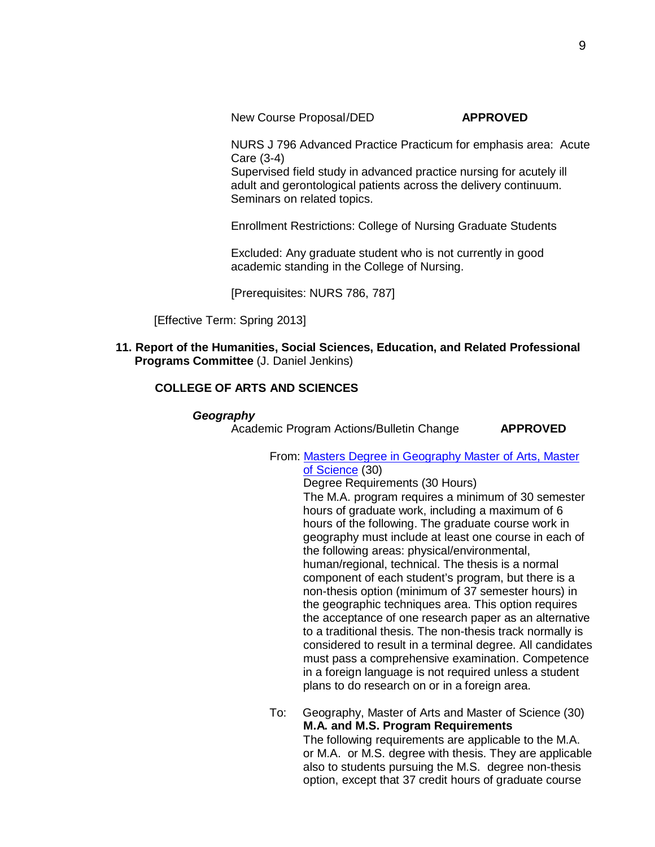NURS J 796 Advanced Practice Practicum for emphasis area: Acute Care (3-4)

Supervised field study in advanced practice nursing for acutely ill adult and gerontological patients across the delivery continuum. Seminars on related topics.

Enrollment Restrictions: College of Nursing Graduate Students

Excluded: Any graduate student who is not currently in good academic standing in the College of Nursing.

[Prerequisites: NURS 786, 787]

[Effective Term: Spring 2013]

**11. Report of the Humanities, Social Sciences, Education, and Related Professional Programs Committee** (J. Daniel Jenkins)

# **COLLEGE OF ARTS AND SCIENCES**

### *Geography*

Academic Program Actions/Bulletin Change **APPROVED**

From: Masters Degree in Geography Master of [Arts, Master](http://gradschool.sc.edu/facstaff/gradcouncil/2012/APAGEOG_201241_Redacted.pdf) of [Science](http://gradschool.sc.edu/facstaff/gradcouncil/2012/APAGEOG_201241_Redacted.pdf) (30)

Degree Requirements (30 Hours) The M.A. program requires a minimum of 30 semester hours of graduate work, including a maximum of 6 hours of the following. The graduate course work in geography must include at least one course in each of the following areas: physical/environmental, human/regional, technical. The thesis is a normal component of each student's program, but there is a non-thesis option (minimum of 37 semester hours) in the geographic techniques area. This option requires the acceptance of one research paper as an alternative to a traditional thesis. The non-thesis track normally is considered to result in a terminal degree. All candidates must pass a comprehensive examination. Competence in a foreign language is not required unless a student plans to do research on or in a foreign area.

To: Geography, Master of Arts and Master of Science (30) **M.A. and M.S. Program Requirements** The following requirements are applicable to the M.A. or M.A. or M.S. degree with thesis. They are applicable also to students pursuing the M.S. degree non-thesis option, except that 37 credit hours of graduate course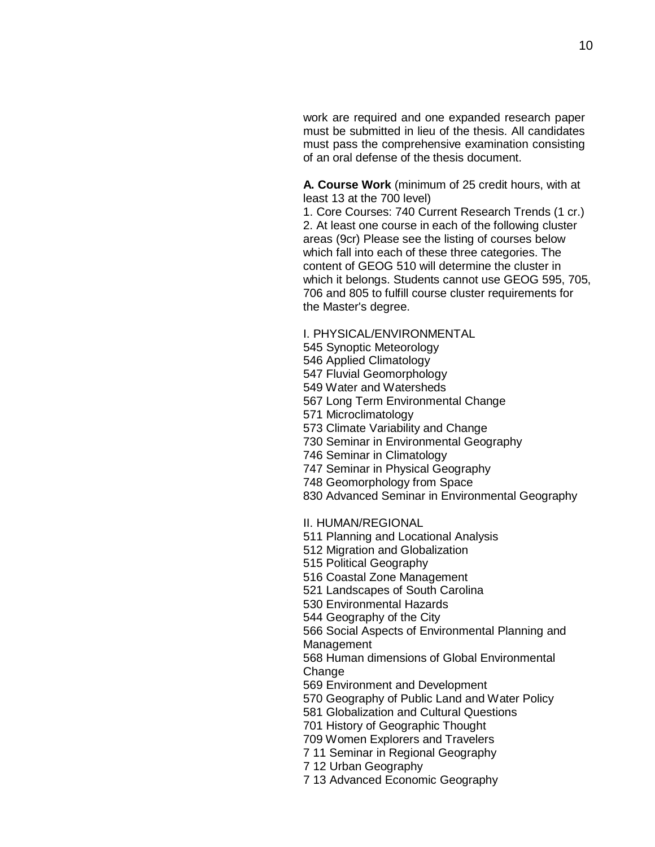work are required and one expanded research paper must be submitted in lieu of the thesis. All candidates must pass the comprehensive examination consisting of an oral defense of the thesis document.

**A. Course Work** (minimum of 25 credit hours, with at least 13 at the 700 level)

1. Core Courses: 740 Current Research Trends (1 cr.) 2. At least one course in each of the following cluster areas (9cr) Please see the listing of courses below which fall into each of these three categories. The content of GEOG 510 will determine the cluster in which it belongs. Students cannot use GEOG 595, 705, and 805 to fulfill course cluster requirements for the Master's degree.

- I. PHYSICAL/ENVIRONMENTAL
- Synoptic Meteorology
- Applied Climatology
- Fluvial Geomorphology
- Water and Watersheds
- Long Term Environmental Change
- Microclimatology
- Climate Variability and Change
- Seminar in Environmental Geography
- Seminar in Climatology
- Seminar in Physical Geography
- Geomorphology from Space
- Advanced Seminar in Environmental Geography
- II. HUMAN/REGIONAL
- Planning and Locational Analysis
- Migration and Globalization
- Political Geography
- Coastal Zone Management
- Landscapes of South Carolina
- Environmental Hazards
- Geography of the City
- Social Aspects of Environmental Planning and Management
- Human dimensions of Global Environmental Change
- Environment and Development
- Geography of Public Land and Water Policy
- Globalization and Cultural Questions
- History of Geographic Thought
- Women Explorers and Travelers
- 11 Seminar in Regional Geography
- 12 Urban Geography
- 13 Advanced Economic Geography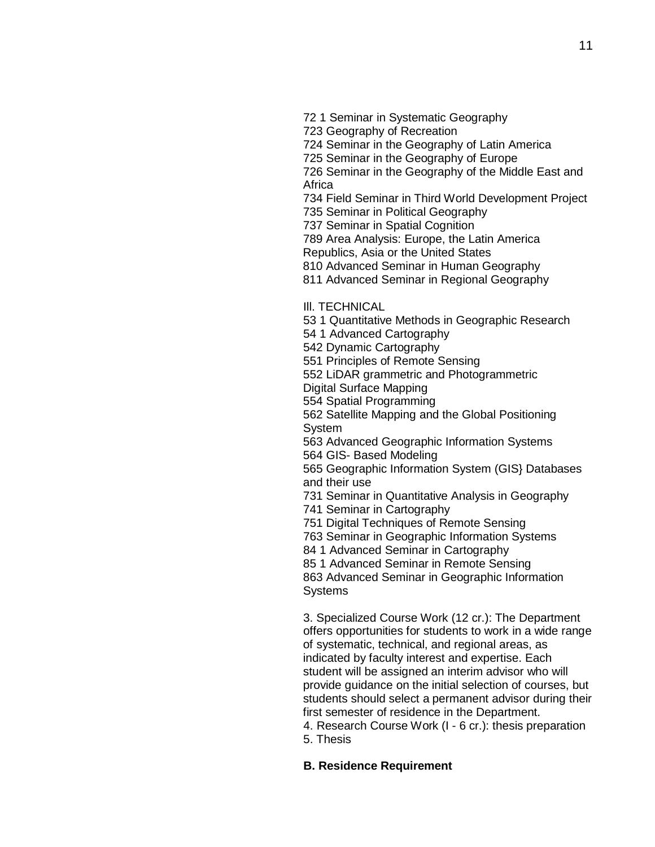- 1 Seminar in Systematic Geography
- Geography of Recreation

Seminar in the Geography of Latin America

Seminar in the Geography of Europe

 Seminar in the Geography of the Middle East and **Africa** 

Field Seminar in Third World Development Project

Seminar in Political Geography

Seminar in Spatial Cognition

Area Analysis: Europe, the Latin America

Republics, Asia or the United States

Advanced Seminar in Human Geography

Advanced Seminar in Regional Geography

Ill. TECHNICAL

1 Quantitative Methods in Geographic Research

1 Advanced Cartography

Dynamic Cartography

Principles of Remote Sensing

LiDAR grammetric and Photogrammetric

Digital Surface Mapping

Spatial Programming

 Satellite Mapping and the Global Positioning System

 Advanced Geographic Information Systems GIS- Based Modeling

 Geographic Information System (GIS} Databases and their use

Seminar in Quantitative Analysis in Geography

Seminar in Cartography

Digital Techniques of Remote Sensing

Seminar in Geographic Information Systems

1 Advanced Seminar in Cartography

1 Advanced Seminar in Remote Sensing

 Advanced Seminar in Geographic Information **Systems** 

3. Specialized Course Work (12 cr.): The Department offers opportunities for students to work in a wide range of systematic, technical, and regional areas, as indicated by faculty interest and expertise. Each student will be assigned an interim advisor who will provide guidance on the initial selection of courses, but students should select a permanent advisor during their first semester of residence in the Department.

4. Research Course Work (I - 6 cr.): thesis preparation 5. Thesis

**B. Residence Requirement**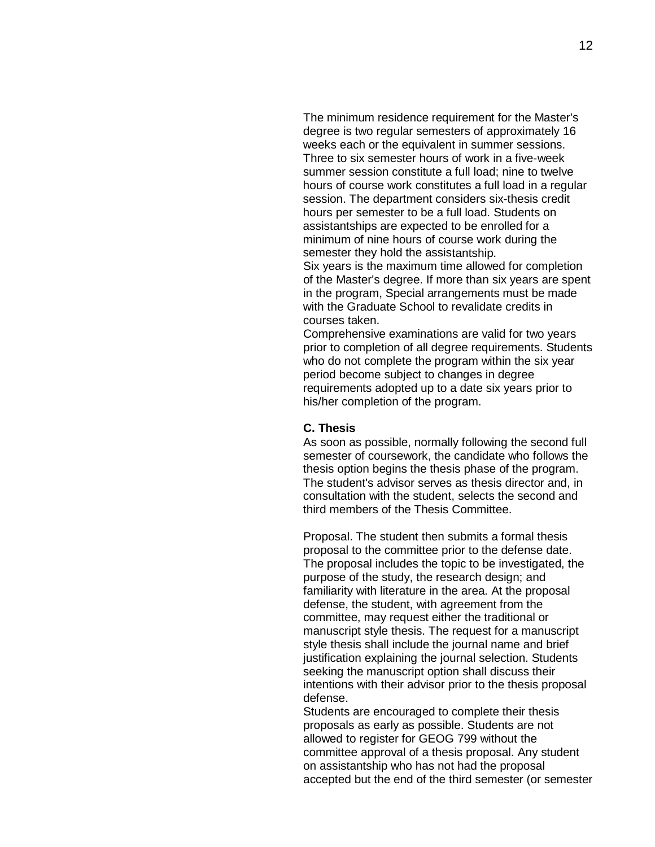The minimum residence requirement for the Master's degree is two regular semesters of approximately 16 weeks each or the equivalent in summer sessions. Three to six semester hours of work in a five-week summer session constitute a full load; nine to twelve hours of course work constitutes a full load in a regular session. The department considers six-thesis credit hours per semester to be a full load. Students on assistantships are expected to be enrolled for a minimum of nine hours of course work during the semester they hold the assistantship.

Six years is the maximum time allowed for completion of the Master's degree. If more than six years are spent in the program, Special arrangements must be made with the Graduate School to revalidate credits in courses taken.

Comprehensive examinations are valid for two years prior to completion of all degree requirements. Students who do not complete the program within the six year period become subject to changes in degree requirements adopted up to a date six years prior to his/her completion of the program.

## **C. Thesis**

As soon as possible, normally following the second full semester of coursework, the candidate who follows the thesis option begins the thesis phase of the program. The student's advisor serves as thesis director and, in consultation with the student, selects the second and third members of the Thesis Committee.

Proposal. The student then submits a formal thesis proposal to the committee prior to the defense date. The proposal includes the topic to be investigated, the purpose of the study, the research design; and familiarity with literature in the area. At the proposal defense, the student, with agreement from the committee, may request either the traditional or manuscript style thesis. The request for a manuscript style thesis shall include the journal name and brief justification explaining the journal selection. Students seeking the manuscript option shall discuss their intentions with their advisor prior to the thesis proposal defense.

Students are encouraged to complete their thesis proposals as early as possible. Students are not allowed to register for GEOG 799 without the committee approval of a thesis proposal. Any student on assistantship who has not had the proposal accepted but the end of the third semester (or semester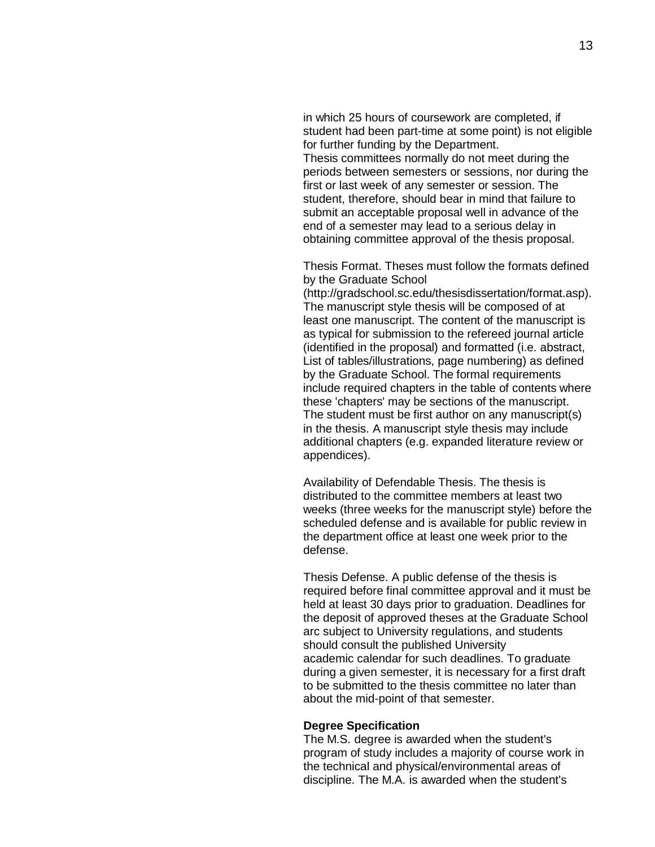in which 25 hours of coursework are completed, if student had been part-time at some point) is not eligible for further funding by the Department.

Thesis committees normally do not meet during the periods between semesters or sessions, nor during the first or last week of any semester or session. The student, therefore, should bear in mind that failure to submit an acceptable proposal well in advance of the end of a semester may lead to a serious delay in obtaining committee approval of the thesis proposal.

Thesis Format. Theses must follow the formats defined by the Graduate School

[\(http://gradschool.sc.edu/thesisdissertation/format.asp\).](http://gradschool.sc.edu/thesisdissertation/format.asp)) The manuscript style thesis will be composed of at least one manuscript. The content of the manuscript is as typical for submission to the refereed journal article (identified in the proposal) and formatted (i.e. abstract, List of tables/illustrations, page numbering) as defined by the Graduate School. The formal requirements include required chapters in the table of contents where these 'chapters' may be sections of the manuscript. The student must be first author on any manuscript(s) in the thesis. A manuscript style thesis may include additional chapters (e.g. expanded literature review or appendices).

Availability of Defendable Thesis. The thesis is distributed to the committee members at least two weeks (three weeks for the manuscript style) before the scheduled defense and is available for public review in the department office at least one week prior to the defense.

Thesis Defense. A public defense of the thesis is required before final committee approval and it must be held at least 30 days prior to graduation. Deadlines for the deposit of approved theses at the Graduate School arc subject to University regulations, and students should consult the published University academic calendar for such deadlines. To graduate during a given semester, it is necessary for a first draft to be submitted to the thesis committee no later than about the mid-point of that semester.

#### **Degree Specification**

The M.S. degree is awarded when the student's program of study includes a majority of course work in the technical and physical/environmental areas of discipline. The M.A. is awarded when the student's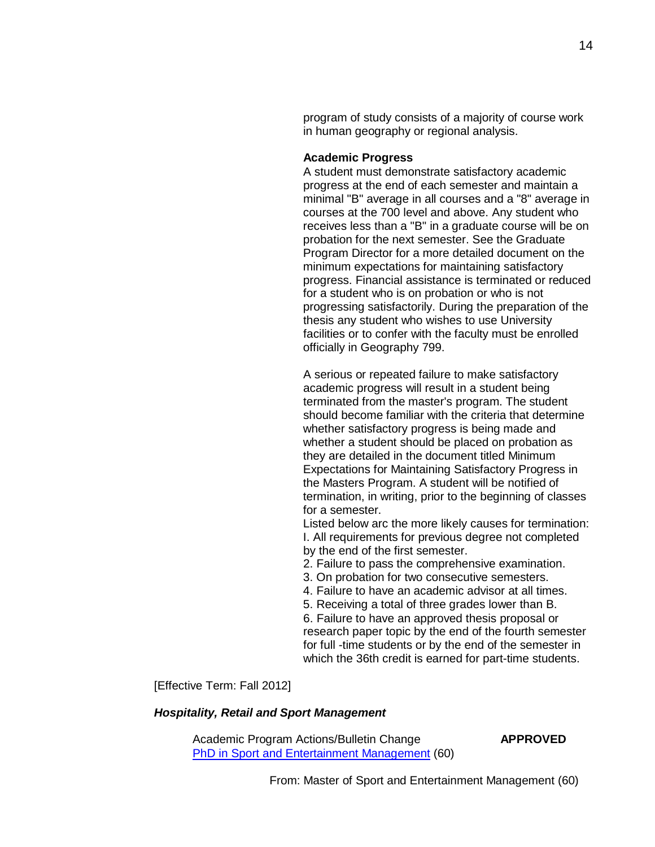program of study consists of a majority of course work in human geography or regional analysis.

### **Academic Progress**

A student must demonstrate satisfactory academic progress at the end of each semester and maintain a minimal "B" average in all courses and a "8" average in courses at the 700 level and above. Any student who receives less than a "B" in a graduate course will be on probation for the next semester. See the Graduate Program Director for a more detailed document on the minimum expectations for maintaining satisfactory progress. Financial assistance is terminated or reduced for a student who is on probation or who is not progressing satisfactorily. During the preparation of the thesis any student who wishes to use University facilities or to confer with the faculty must be enrolled officially in Geography 799.

A serious or repeated failure to make satisfactory academic progress will result in a student being terminated from the master's program. The student should become familiar with the criteria that determine whether satisfactory progress is being made and whether a student should be placed on probation as they are detailed in the document titled Minimum Expectations for Maintaining Satisfactory Progress in the Masters Program. A student will be notified of termination, in writing, prior to the beginning of classes for a semester.

Listed below arc the more likely causes for termination: I. All requirements for previous degree not completed by the end of the first semester.

- 2. Failure to pass the comprehensive examination.
- 3. On probation for two consecutive semesters.
- 4. Failure to have an academic advisor at all times.
- 5. Receiving a total of three grades lower than B.

6. Failure to have an approved thesis proposal or research paper topic by the end of the fourth semester for full -time students or by the end of the semester in which the 36th credit is earned for part-time students.

[Effective Term: Fall 2012]

### *Hospitality, Retail and Sport Management*

Academic Program Actions/Bulletin Change **APPROVED** PhD in Sport and Entertainment Management (60)

From: Master of Sport and Entertainment Management (60)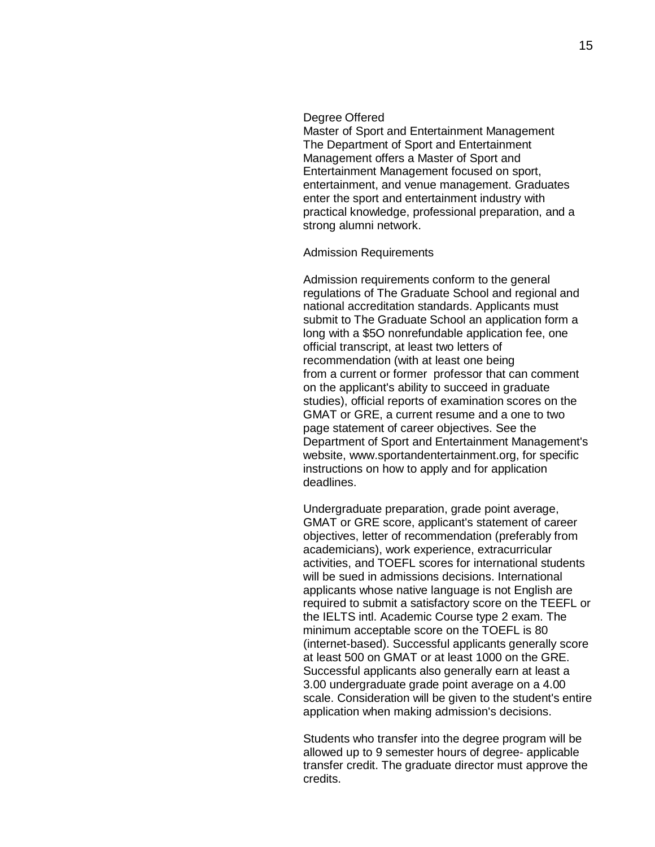#### Degree Offered

Master of Sport and Entertainment Management The Department of Sport and Entertainment Management offers a Master of Sport and Entertainment Management focused on sport, entertainment, and venue management. Graduates enter the sport and entertainment industry with practical knowledge, professional preparation, and a strong alumni network.

### Admission Requirements

Admission requirements conform to the general regulations of The Graduate School and regional and national accreditation standards. Applicants must submit to The Graduate School an application form a long with a \$5O nonrefundable application fee, one official transcript, at least two letters of recommendation (with at least one being from a current or former professor that can comment on the applicant's ability to succeed in graduate studies), official reports of examination scores on the GMAT or GRE, a current resume and a one to two page statement of career objectives. See the Department of Sport and Entertainment Management's website, [www.sportandentertainment.org,](http://www.sportandentertainment.org/) for specific instructions on how to apply and for application deadlines.

Undergraduate preparation, grade point average, GMAT or GRE score, applicant's statement of career objectives, letter of recommendation (preferably from academicians), work experience, extracurricular activities, and TOEFL scores for international students will be sued in admissions decisions. International applicants whose native language is not English are required to submit a satisfactory score on the TEEFL or the IELTS intl. Academic Course type 2 exam. The minimum acceptable score on the TOEFL is 80 (internet-based). Successful applicants generally score at least 500 on GMAT or at least 1000 on the GRE. Successful applicants also generally earn at least a 3.00 undergraduate grade point average on a 4.00 scale. Consideration will be given to the student's entire application when making admission's decisions.

Students who transfer into the degree program will be allowed up to 9 semester hours of degree- applicable transfer credit. The graduate director must approve the credits.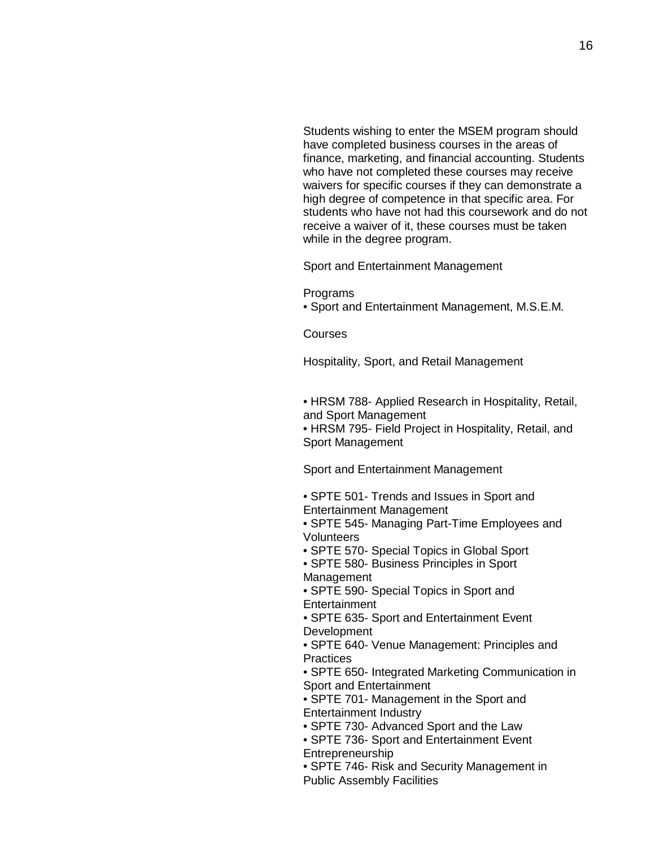Students wishing to enter the MSEM program should have completed business courses in the areas of finance, marketing, and financial accounting. Students who have not completed these courses may receive waivers for specific courses if they can demonstrate a high degree of competence in that specific area. For students who have not had this coursework and do not receive a waiver of it, these courses must be taken while in the degree program.

Sport and Entertainment Management

Programs

• Sport and Entertainment Management, M.S.E.M.

Courses

Hospitality, Sport, and Retail Management

• HRSM 788- Applied Research in Hospitality, Retail, and Sport Management

• HRSM 795- Field Project in Hospitality, Retail, and Sport Management

Sport and Entertainment Management

• SPTE 501- Trends and Issues in Sport and Entertainment Management

- SPTE 545- Managing Part-Time Employees and Volunteers
- SPTE 570- Special Topics in Global Sport
- SPTE 580- Business Principles in Sport Management
- SPTE 590- Special Topics in Sport and **Entertainment**

• SPTE 635- Sport and Entertainment Event **Development** 

• SPTE 640- Venue Management: Principles and **Practices** 

• SPTE 650- Integrated Marketing Communication in Sport and Entertainment

- SPTE 701- Management in the Sport and Entertainment Industry
- SPTE 730- Advanced Sport and the Law
- SPTE 736- Sport and Entertainment Event Entrepreneurship
- SPTE 746- Risk and Security Management in Public Assembly Facilities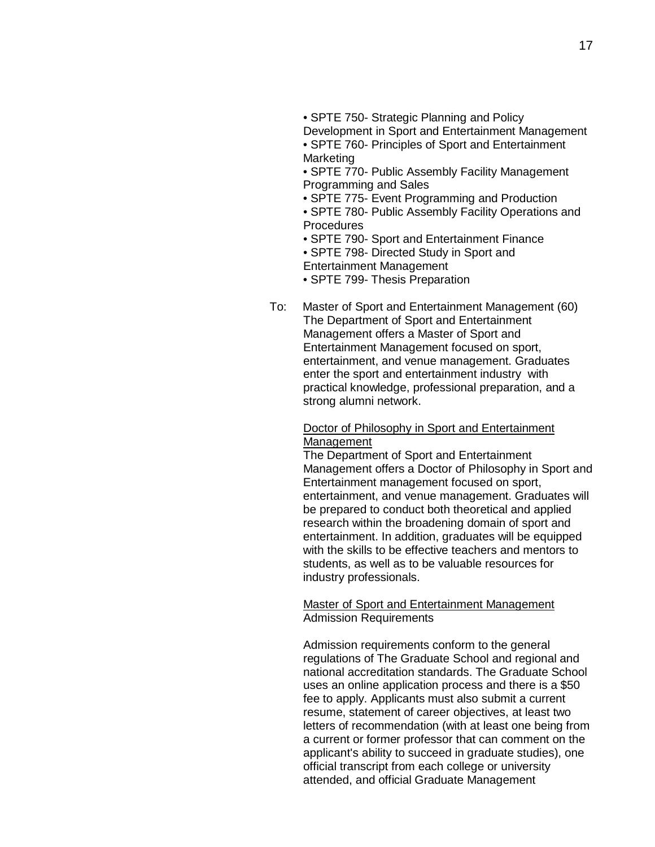• SPTE 750- Strategic Planning and Policy

Development in Sport and Entertainment Management

• SPTE 760- Principles of Sport and Entertainment Marketing

• SPTE 770- Public Assembly Facility Management Programming and Sales

• SPTE 775- Event Programming and Production

• SPTE 780- Public Assembly Facility Operations and **Procedures** 

• SPTE 790- Sport and Entertainment Finance

• SPTE 798- Directed Study in Sport and Entertainment Management

• SPTE 799- Thesis Preparation

To: Master of Sport and Entertainment Management (60) The Department of Sport and Entertainment Management offers a Master of Sport and Entertainment Management focused on sport, entertainment, and venue management. Graduates enter the sport and entertainment industry with practical knowledge, professional preparation, and a strong alumni network.

### Doctor of Philosophy in Sport and Entertainment **Management**

The Department of Sport and Entertainment Management offers a Doctor of Philosophy in Sport and Entertainment management focused on sport, entertainment, and venue management. Graduates will be prepared to conduct both theoretical and applied research within the broadening domain of sport and entertainment. In addition, graduates will be equipped with the skills to be effective teachers and mentors to students, as well as to be valuable resources for industry professionals.

### Master of Sport and Entertainment Management Admission Requirements

Admission requirements conform to the general regulations of The Graduate School and regional and national accreditation standards. The Graduate School uses an online application process and there is a \$50 fee to apply. Applicants must also submit a current resume, statement of career objectives, at least two letters of recommendation (with at least one being from a current or former professor that can comment on the applicant's ability to succeed in graduate studies), one official transcript from each college or university attended, and official Graduate Management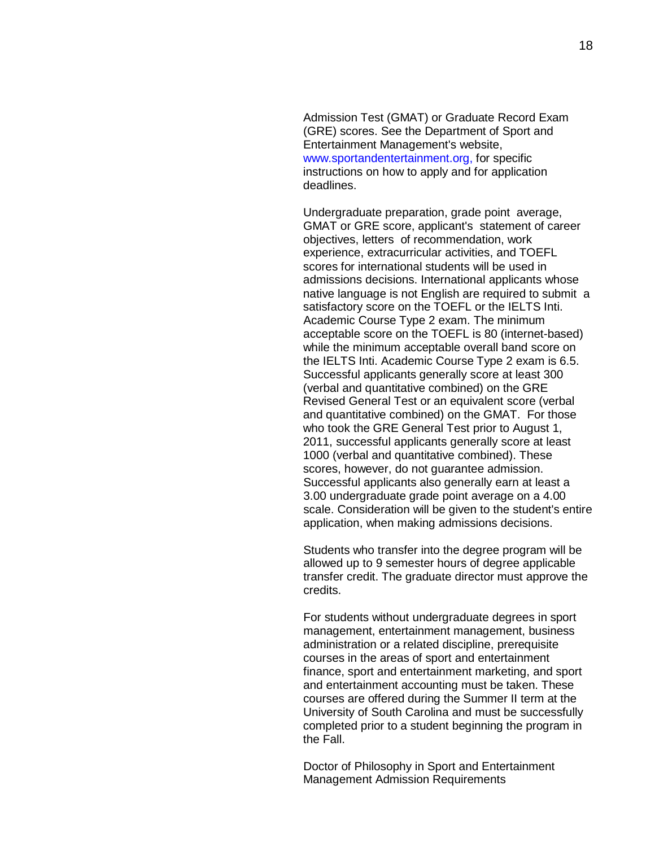Admission Test (GMAT) or Graduate Record Exam (GRE) scores. See the Department of Sport and Entertainment Management's website, [www.sportandentertainment.org,](http://www.sportandentertainment.org/) for specific instructions on how to apply and for application deadlines.

Undergraduate preparation, grade point average, GMAT or GRE score, applicant's statement of career objectives, letters of recommendation, work experience, extracurricular activities, and TOEFL scores for international students will be used in admissions decisions. International applicants whose native language is not English are required to submit a satisfactory score on the TOEFL or the IELTS Inti. Academic Course Type 2 exam. The minimum acceptable score on the TOEFL is 80 (internet-based) while the minimum acceptable overall band score on the IELTS Inti. Academic Course Type 2 exam is 6.5. Successful applicants generally score at least 300 (verbal and quantitative combined) on the GRE Revised General Test or an equivalent score (verbal and quantitative combined) on the GMAT. For those who took the GRE General Test prior to August 1, 2011, successful applicants generally score at least 1000 (verbal and quantitative combined). These scores, however, do not guarantee admission. Successful applicants also generally earn at least a 3.00 undergraduate grade point average on a 4.00 scale. Consideration will be given to the student's entire application, when making admissions decisions.

Students who transfer into the degree program will be allowed up to 9 semester hours of degree applicable transfer credit. The graduate director must approve the credits.

For students without undergraduate degrees in sport management, entertainment management, business administration or a related discipline, prerequisite courses in the areas of sport and entertainment finance, sport and entertainment marketing, and sport and entertainment accounting must be taken. These courses are offered during the Summer II term at the University of South Carolina and must be successfully completed prior to a student beginning the program in the Fall.

Doctor of Philosophy in Sport and Entertainment Management Admission Requirements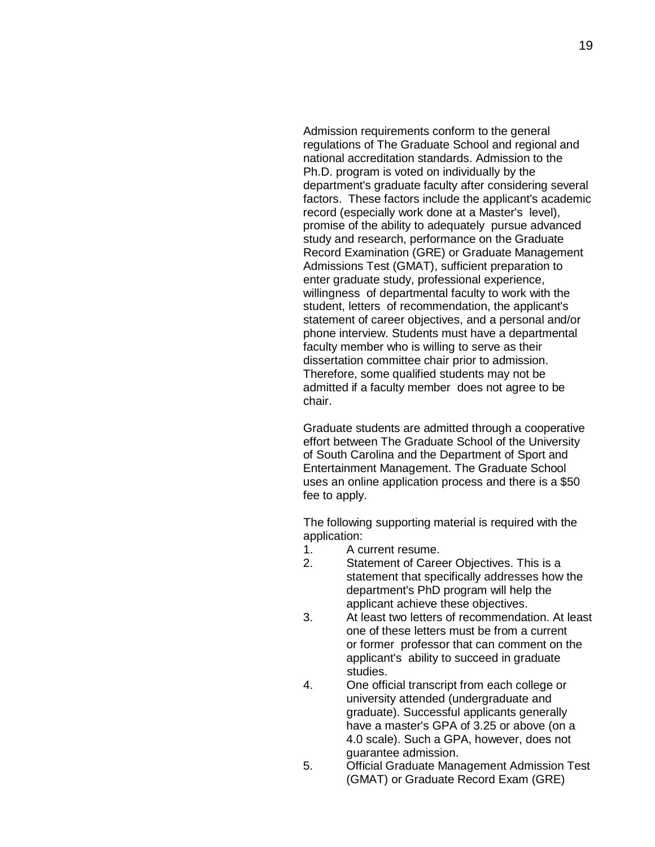Admission requirements conform to the general regulations of The Graduate School and regional and national accreditation standards. Admission to the Ph.D. program is voted on individually by the department's graduate faculty after considering several factors. These factors include the applicant's academic record (especially work done at a Master's level), promise of the ability to adequately pursue advanced study and research, performance on the Graduate Record Examination (GRE) or Graduate Management Admissions Test (GMAT), sufficient preparation to enter graduate study, professional experience, willingness of departmental faculty to work with the student, letters of recommendation, the applicant's statement of career objectives, and a personal and/or phone interview. Students must have a departmental faculty member who is willing to serve as their dissertation committee chair prior to admission. Therefore, some qualified students may not be admitted if a faculty member does not agree to be chair.

Graduate students are admitted through a cooperative effort between The Graduate School of the University of South Carolina and the Department of Sport and Entertainment Management. The Graduate School uses an online application process and there is a \$50 fee to apply.

The following supporting material is required with the application:<br>1. A c

- 1. A current resume.
- 2. Statement of Career Objectives. This is a statement that specifically addresses how the department's PhD program will help the applicant achieve these objectives.
- 3. At least two letters of recommendation. At least one of these letters must be from a current or former professor that can comment on the applicant's ability to succeed in graduate studies.
- 4. One official transcript from each college or university attended (undergraduate and graduate). Successful applicants generally have a master's GPA of 3.25 or above (on a 4.0 scale). Such a GPA, however, does not guarantee admission.
- 5. Official Graduate Management Admission Test (GMAT) or Graduate Record Exam (GRE)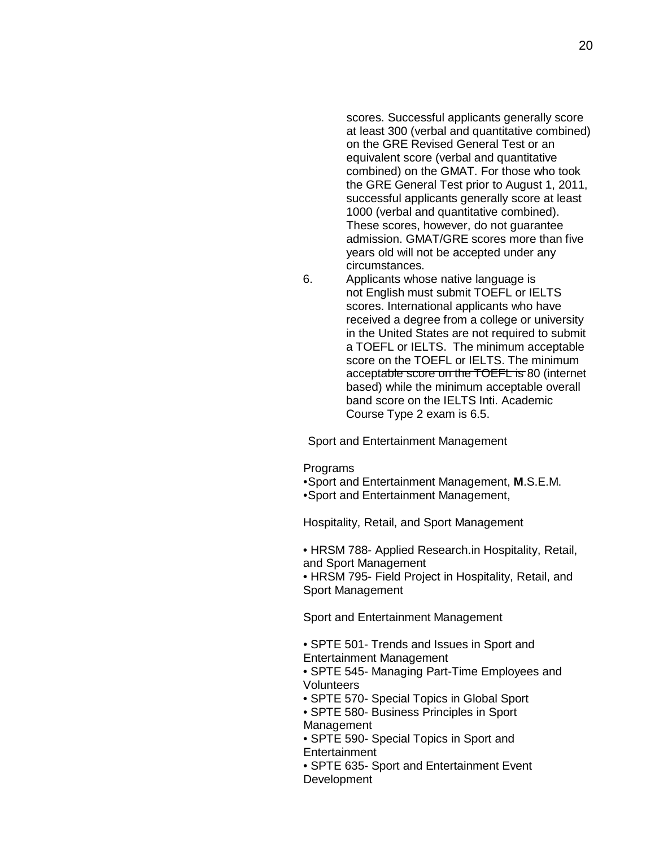scores. Successful applicants generally score at least 300 (verbal and quantitative combined) on the GRE Revised General Test or an equivalent score (verbal and quantitative combined) on the GMAT. For those who took the GRE General Test prior to August 1, 2011, successful applicants generally score at least 1000 (verbal and quantitative combined). These scores, however, do not guarantee admission. GMAT/GRE scores more than five years old will not be accepted under any circumstances.

6. Applicants whose native language is not English must submit TOEFL or IELTS scores. International applicants who have received a degree from a college or university in the United States are not required to submit a TOEFL or IELTS. The minimum acceptable score on the TOEFL or IELTS. The minimum acceptable score on the TOEFL is 80 (internet based) while the minimum acceptable overall band score on the IELTS Inti. Academic Course Type 2 exam is 6.5.

Sport and Entertainment Management

**Programs** 

- •Sport and Entertainment Management, **M**.S.E.M.
- •Sport and Entertainment Management,

Hospitality, Retail, and Sport Management

• HRSM 788- Applied Research.in Hospitality, Retail, and Sport Management

• HRSM 795- Field Project in Hospitality, Retail, and Sport Management

Sport and Entertainment Management

• SPTE 501- Trends and Issues in Sport and Entertainment Management

• SPTE 545- Managing Part-Time Employees and **Volunteers** 

- SPTE 570- Special Topics in Global Sport
- SPTE 580- Business Principles in Sport Management
- SPTE 590- Special Topics in Sport and **Entertainment**
- SPTE 635- Sport and Entertainment Event **Development**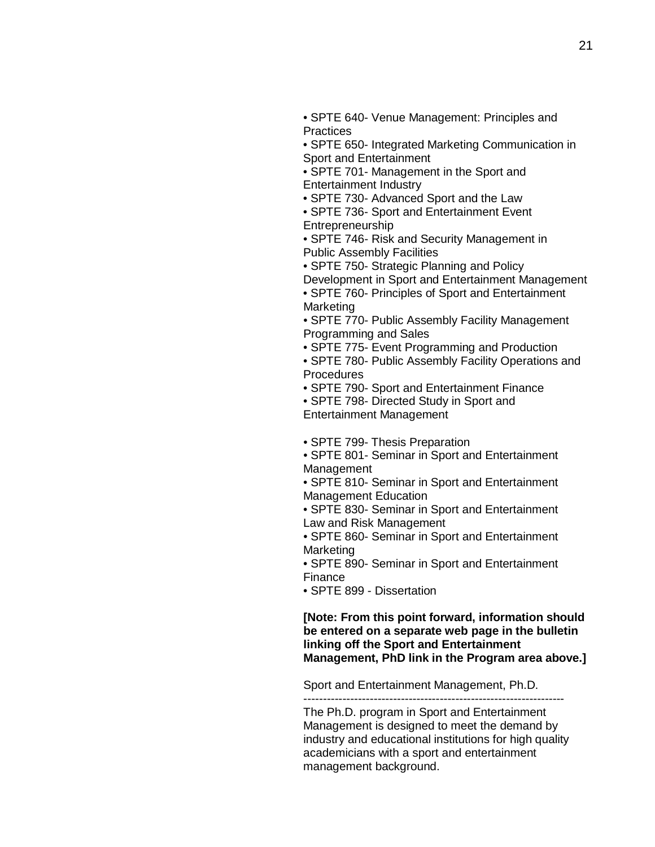• SPTE 640- Venue Management: Principles and **Practices** 

• SPTE 650- Integrated Marketing Communication in Sport and Entertainment

• SPTE 701- Management in the Sport and Entertainment Industry

• SPTE 730- Advanced Sport and the Law

• SPTE 736- Sport and Entertainment Event Entrepreneurship

• SPTE 746- Risk and Security Management in Public Assembly Facilities

• SPTE 750- Strategic Planning and Policy

Development in Sport and Entertainment Management

• SPTE 760- Principles of Sport and Entertainment Marketing

• SPTE 770- Public Assembly Facility Management Programming and Sales

• SPTE 775- Event Programming and Production

• SPTE 780- Public Assembly Facility Operations and **Procedures** 

• SPTE 790- Sport and Entertainment Finance

• SPTE 798- Directed Study in Sport and

Entertainment Management

• SPTE 799- Thesis Preparation

• SPTE 801- Seminar in Sport and Entertainment Management

• SPTE 810- Seminar in Sport and Entertainment Management Education

• SPTE 830- Seminar in Sport and Entertainment Law and Risk Management

• SPTE 860- Seminar in Sport and Entertainment Marketing

• SPTE 890- Seminar in Sport and Entertainment Finance

• SPTE 899 - Dissertation

**[Note: From this point forward, information should be entered on a separate web page in the bulletin linking off the Sport and Entertainment Management, PhD link in the Program area above.]**

Sport and Entertainment Management, Ph.D.

-------------------------------------------------------------------

The Ph.D. program in Sport and Entertainment Management is designed to meet the demand by industry and educational institutions for high quality academicians with a sport and entertainment management background.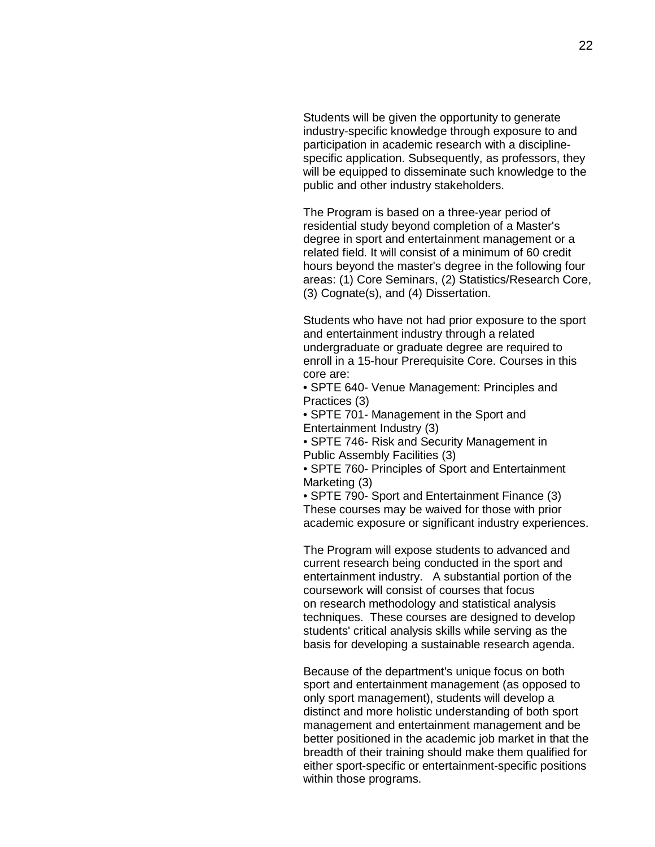Students will be given the opportunity to generate industry-specific knowledge through exposure to and participation in academic research with a disciplinespecific application. Subsequently, as professors, they will be equipped to disseminate such knowledge to the public and other industry stakeholders.

The Program is based on a three-year period of residential study beyond completion of a Master's degree in sport and entertainment management or a related field. It will consist of a minimum of 60 credit hours beyond the master's degree in the following four areas: (1) Core Seminars, (2) Statistics/Research Core, (3) Cognate(s), and (4) Dissertation.

Students who have not had prior exposure to the sport and entertainment industry through a related undergraduate or graduate degree are required to enroll in a 15-hour Prerequisite Core. Courses in this core are:

• SPTE 640- Venue Management: Principles and Practices (3)

• SPTE 701- Management in the Sport and Entertainment Industry (3)

• SPTE 746- Risk and Security Management in Public Assembly Facilities (3)

• SPTE 760- Principles of Sport and Entertainment Marketing (3)

• SPTE 790- Sport and Entertainment Finance (3) These courses may be waived for those with prior academic exposure or significant industry experiences.

The Program will expose students to advanced and current research being conducted in the sport and entertainment industry. A substantial portion of the coursework will consist of courses that focus on research methodology and statistical analysis techniques. These courses are designed to develop students' critical analysis skills while serving as the basis for developing a sustainable research agenda.

Because of the department's unique focus on both sport and entertainment management (as opposed to only sport management), students will develop a distinct and more holistic understanding of both sport management and entertainment management and be better positioned in the academic job market in that the breadth of their training should make them qualified for either sport-specific or entertainment-specific positions within those programs.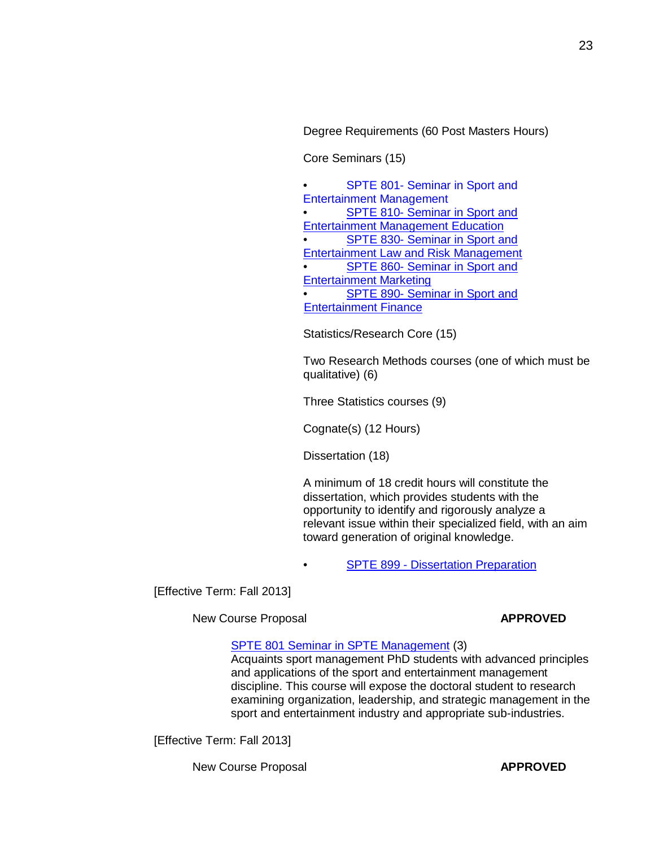Degree Requirements (60 Post Masters Hours)

Core Seminars (15)

[SPTE 801-](http://gradschool.sc.edu/facstaff/gradcouncil/2012/NCPSPTE801_201241_Redacted.pdf) Seminar in Sport and [Entertainment Management](http://gradschool.sc.edu/facstaff/gradcouncil/2012/NCPSPTE801_201241_Redacted.pdf) [SPTE 810-](http://gradschool.sc.edu/facstaff/gradcouncil/2012/NCPSPTE810_201241_Redacted.pdf) Seminar in Sport and [Entertainment Management](http://gradschool.sc.edu/facstaff/gradcouncil/2012/NCPSPTE810_201241_Redacted.pdf) Education [SPTE 830-](http://gradschool.sc.edu/facstaff/gradcouncil/2012/NCPSPTE830_201241_Redacted.pdf) Seminar in Sport and [Entertainment Law](http://gradschool.sc.edu/facstaff/gradcouncil/2012/NCPSPTE830_201241_Redacted.pdf) and Risk Management [SPTE 860-](http://gradschool.sc.edu/facstaff/gradcouncil/2012/NCPSPTE860_201241.pdf) Seminar in Sport and [Entertainment Marketing](http://gradschool.sc.edu/facstaff/gradcouncil/2012/NCPSPTE860_201241.pdf) **[SPTE 890-](http://gradschool.sc.edu/facstaff/gradcouncil/2012/NCPSPTE890_201241.pdf) Seminar in Sport and** [Entertainment Finance](http://gradschool.sc.edu/facstaff/gradcouncil/2012/NCPSPTE890_201241.pdf)

Statistics/Research Core (15)

Two Research Methods courses (one of which must be qualitative) (6)

Three Statistics courses (9)

Cognate(s) (12 Hours)

Dissertation (18)

A minimum of 18 credit hours will constitute the dissertation, which provides students with the opportunity to identify and rigorously analyze a relevant issue within their specialized field, with an aim toward generation of original knowledge.

**SPTE 899 - [Dissertation](http://gradschool.sc.edu/facstaff/gradcouncil/2012/NCPSPTE899_201241.pdf) Preparation** 

[Effective Term: Fall 2013]

New Course Proposal **APPROVED** 

## SPTE 801 Seminar in [SPTE Management](http://gradschool.sc.edu/facstaff/gradcouncil/2012/NCPSPTE801_201241_Redacted.pdf) (3)

Acquaints sport management PhD students with advanced principles and applications of the sport and entertainment management discipline. This course will expose the doctoral student to research examining organization, leadership, and strategic management in the sport and entertainment industry and appropriate sub-industries.

[Effective Term: Fall 2013]

New Course Proposal **APPROVED**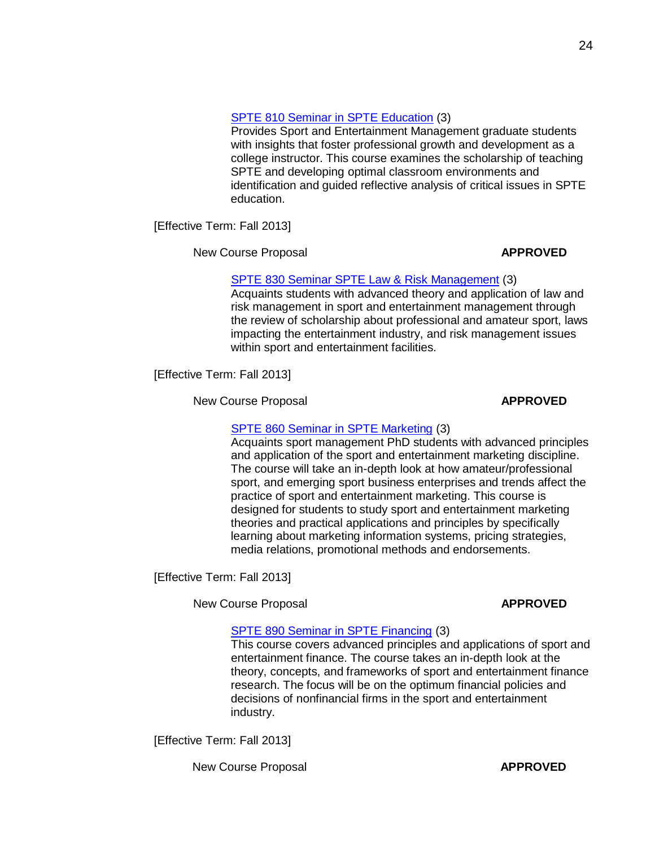## SPTE 810 Seminar in [SPTE Education](http://gradschool.sc.edu/facstaff/gradcouncil/2012/NCPSPTE810_201241_Redacted.pdf) (3)

Provides Sport and Entertainment Management graduate students with insights that foster professional growth and development as a college instructor. This course examines the scholarship of teaching SPTE and developing optimal classroom environments and identification and guided reflective analysis of critical issues in SPTE education.

[Effective Term: Fall 2013]

New Course Proposal **APPROVED** 

## SPTE 830 [Seminar SPTE](http://gradschool.sc.edu/facstaff/gradcouncil/2012/NCPSPTE830_201241_Redacted.pdf) Law & Risk Management (3)

Acquaints students with advanced theory and application of law and risk management in sport and entertainment management through the review of scholarship about professional and amateur sport, laws impacting the entertainment industry, and risk management issues within sport and entertainment facilities.

[Effective Term: Fall 2013]

New Course Proposal **APPROVED** 

## SPTE 860 Seminar in [SPTE Marketing](http://gradschool.sc.edu/facstaff/gradcouncil/2012/NCPSPTE860_201241.pdf) (3)

Acquaints sport management PhD students with advanced principles and application of the sport and entertainment marketing discipline. The course will take an in-depth look at how amateur/professional sport, and emerging sport business enterprises and trends affect the practice of sport and entertainment marketing. This course is designed for students to study sport and entertainment marketing theories and practical applications and principles by specifically learning about marketing information systems, pricing strategies, media relations, promotional methods and endorsements.

[Effective Term: Fall 2013]

New Course Proposal **APPROVED**

## SPTE 890 Seminar in [SPTE Financing](http://gradschool.sc.edu/facstaff/gradcouncil/2012/NCPSPTE890_201241.pdf) (3)

This course covers advanced principles and applications of sport and entertainment finance. The course takes an in-depth look at the theory, concepts, and frameworks of sport and entertainment finance research. The focus will be on the optimum financial policies and decisions of nonfinancial firms in the sport and entertainment industry.

[Effective Term: Fall 2013]

New Course Proposal **APPROVED**